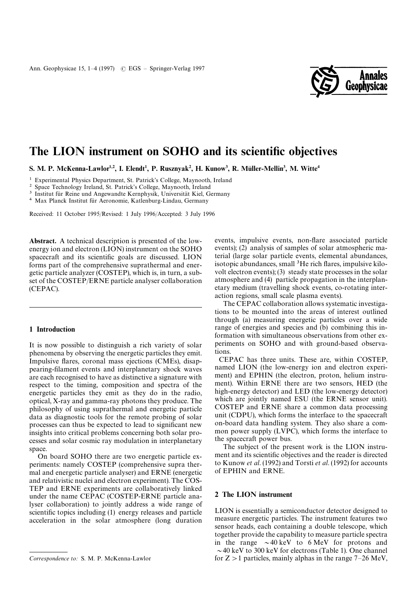

# The LION instrument on SOHO and its scientific objectives

S. M. P. McKenna-Lawlor<sup>1,2</sup>, I. Elendt<sup>1</sup>, P. Rusznyak<sup>2</sup>, H. Kunow<sup>3</sup>, R. Müller-Mellin<sup>3</sup>, M. Witte<sup>4</sup>

<sup>1</sup> Experimental Physics Department, St. Patrick's College, Maynooth, Ireland

2 Space Technology Ireland, St. Patrick's College, Maynooth, Ireland

<sup>3</sup> Institut für Reine und Angewandte Kernphysik, Universität Kiel, Germany

<sup>4</sup> Max Planck Institut für Aeronomie, Katlenburg-Lindau, Germany

Received: 11 October 1995/Revised: 1 July 1996/Accepted: 3 July 1996

Abstract. A technical description is presented of the lowenergy ion and electron (LION) instrument on the SOHO spacecraft and its scientific goals are discussed. LION forms part of the comprehensive suprathermal and energetic particle analyzer (COSTEP), which is, in turn, a subset of the COSTEP/ERNE particle analyser collaboration (CEPAC).

### 1 Introduction

It is now possible to distinguish a rich variety of solar phenomena by observing the energetic particles they emit. Impulsive flares, coronal mass ejections (CMEs), disappearing-filament events and interplanetary shock waves are each recognised to have as distinctive a signature with respect to the timing, composition and spectra of the energetic particles they emit as they do in the radio, optical, X-ray and gamma-ray photons they produce. The philosophy of using suprathermal and energetic particle data as diagnostic tools for the remote probing of solar processes can thus be expected to lead to significant new insights into critical problems concerning both solar processes and solar cosmic ray modulation in interplanetary space.

On board SOHO there are two energetic particle experiments: namely COSTEP (comprehensive supra thermal and energetic particle analyser) and ERNE (energetic and relativistic nuclei and electron experiment). The COS-TEP and ERNE experiments are collaboratively linked under the name CEPAC (COSTEP-ERNE particle analyser collaboration) to jointly address a wide range of scientific topics including (1) energy releases and particle acceleration in the solar atmosphere (long duration

events, impulsive events, non-flare associated particle events); (2) analysis of samples of solar atmospheric material (large solar particle events, elemental abundances, isotopic abundances, small <sup>3</sup>He rich flares, impulsive kilovolt electron events); (3) steady state processes in the solar atmosphere and (4) particle propagation in the interplanetary medium (travelling shock events, co-rotating interaction regions, small scale plasma events).

The CEPAC collaboration allows systematic investigations to be mounted into the areas of interest outlined through (a) measuring energetic particles over a wide range of energies and species and (b) combining this information with simultaneous observations from other experiments on SOHO and with ground-based observations.

CEPAC has three units. These are, within COSTEP, named LION (the low-energy ion and electron experiment) and EPHIN (the electron, proton, helium instrument). Within ERNE there are two sensors, HED (the high-energy detector) and LED (the low-energy detector) which are jointly named ESU (the ERNE sensor unit). COSTEP and ERNE share a common data processing unit (CDPU), which forms the interface to the spacecraft on-board data handling system. They also share a common power supply (LVPC), which forms the interface to the spacecraft power bus.

The subject of the present work is the LION instrument and its scientific objectives and the reader is directed to Kunow *et al*. (1992) and Torsti *et al*. (1992) for accounts of EPHIN and ERNE.

# 2 The LION instrument

LION is essentially a semiconductor detector designed to measure energetic particles. The instrument features two sensor heads, each containing a double telescope, which together provide the capability to measure particle spectra in the range  $\sim$  40 keV to 6 MeV for protons and  $\sim$  40 keV to 300 keV for electrons (Table 1). One channel for  $Z > 1$  particles, mainly alphas in the range  $7 - 26$  MeV,

*Correspondence to:* S. M. P. McKenna-Lawlor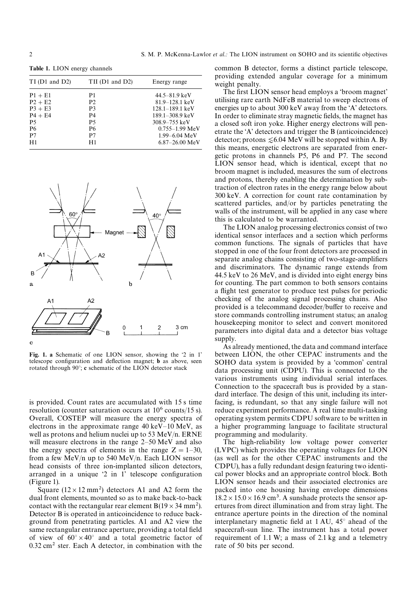Table 1. LION energy channels

| $TI$ (D1 and D2) | TII (D1 and D2) | Energy range                |
|------------------|-----------------|-----------------------------|
| $P1 + E1$        | P1              | $44.5 - 81.9$ keV           |
| $P2 + E2$        | P <sub>2</sub>  | $81.9 - 128.1 \text{ keV}$  |
| $P3 + E3$        | P <sub>3</sub>  | $128.1 - 189.1 \text{ keV}$ |
| $P4 + E4$        | P4              | 189.1-308.9 keV             |
| <b>P5</b>        | <b>P5</b>       | $308.9 - 755$ keV           |
| <b>P6</b>        | <b>P6</b>       | $0.755 - 1.99$ MeV          |
| P <sub>7</sub>   | P7              | $1.99 - 6.04$ MeV           |
| H1               | H1              | $6.87 - 26.00$ MeV          |



Fig. 1. a Schematic of one LION sensor, showing the '2 in 1' telescope configuration and deflection magnet; b as above, seen rotated through 90*°*; c schematic of the LION detector stack

is provided. Count rates are accumulated with 15 s time resolution (counter saturation occurs at  $10^6$  counts/15 s). Overall, COSTEP will measure the energy spectra of electrons in the approximate range 40 keV*—*10 MeV, as well as protons and helium nuclei up to 53 MeV/n. ERNE will measure electrons in the range 2*—*50 MeV and also the energy spectra of elements in the range  $Z = 1-30$ , from a few MeV/n up to 540 MeV/n. Each LION sensor head consists of three ion-implanted silicon detectors, arranged in a unique '2 in 1' telescope configuration (Figure 1).

Square  $(12 \times 12 \text{ mm}^2)$  detectors A1 and A2 form the dual front elements, mounted so as to make back-to-back contact with the rectangular rear element  $B(19 \times 34 \text{ mm}^2)$ . Detector B is operated in anticoincidence to reduce background from penetrating particles. A1 and A2 view the same rectangular entrance aperture, providing a total field of view of  $60^{\circ} \times 40^{\circ}$  and a total geometric factor of  $0.32$  cm<sup>2</sup> ster. Each A detector, in combination with the common B detector, forms a distinct particle telescope, providing extended angular coverage for a minimum weight penalty.

The first LION sensor head employs a 'broom magnet' utilising rare earth NdFeB material to sweep electrons of energies up to about 300 keV away from the 'A' detectors. In order to eliminate stray magnetic fields, the magnet has a closed soft iron yoke. Higher energy electrons will penetrate the 'A' detectors and trigger the B (anticoincidence) detector; protons  $\leq 6.04$  MeV will be stopped within A. By this means, energetic electrons are separated from energetic protons in channels P5, P6 and P7. The second LION sensor head, which is identical, except that no broom magnet is included, measures the sum of electrons and protons, thereby enabling the determination by subtraction of electron rates in the energy range below about 300 keV. A correction for count rate contamination by scattered particles, and/or by particles penetrating the walls of the instrument, will be applied in any case where this is calculated to be warranted.

The LION analog processing electronics consist of two identical sensor interfaces and a section which performs common functions. The signals of particles that have stopped in one of the four front detectors are processed in separate analog chains consisting of two-stage-amplifiers and discriminators. The dynamic range extends from 44.5 keV to 26 MeV, and is divided into eight energy bins for counting. The part common to both sensors contains a flight test generator to produce test pulses for periodic checking of the analog signal processing chains. Also provided is a telecommand decoder/buffer to receive and store commands controlling instrument status; an analog housekeeping monitor to select and convert monitored parameters into digital data and a detector bias voltage supply.

As already mentioned, the data and command interface between LION, the other CEPAC instruments and the SOHO data system is provided by a 'common' central data processing unit (CDPU). This is connected to the various instruments using individual serial interfaces. Connection to the spacecraft bus is provided by a standard interface. The design of this unit, including its interfacing, is redundant, so that any single failure will not reduce experiment performance. A real time multi-tasking operating system permits CDPU software to be written in a higher programming language to facilitate structural programming and modularity.

The high-reliability low voltage power converter (LVPC) which provides the operating voltages for LION (as well as for the other CEPAC instruments and the CDPU), has a fully redundant design featuring two identical power blocks and an appropriate control block. Both LION sensor heads and their associated electronics are packed into one housing having envelope dimensions  $18.2 \times 15.0 \times 16.9$  cm<sup>3</sup>. A sunshade protects the sensor apertures from direct illumination and from stray light. The entrance aperture points in the direction of the nominal interplanetary magnetic field at 1 AU, 45*°* ahead of the spacecraft-sun line. The instrument has a total power requirement of 1.1 W; a mass of 2.1 kg and a telemetry rate of 50 bits per second.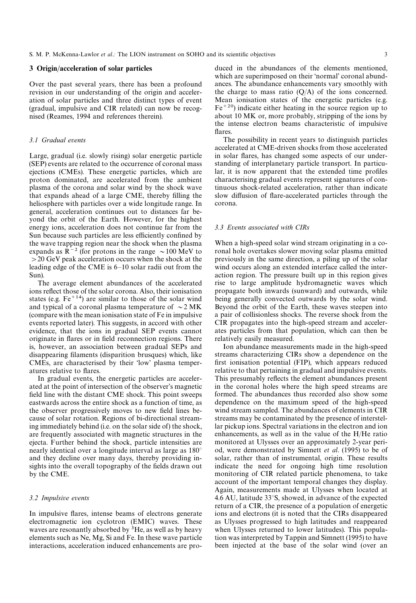# 3 Origin/acceleration of solar particles

Over the past several years, there has been a profound revision in our understanding of the origin and acceleration of solar particles and three distinct types of event (gradual, impulsive and CIR related) can now be recognised (Reames, 1994 and references therein).

### *3.1 Gradual events*

Large, gradual (i.e. slowly rising) solar energetic particle (SEP) events are related to the occurrence of coronal mass ejections (CMEs). These energetic particles, which are proton dominated, are accelerated from the ambient plasma of the corona and solar wind by the shock wave that expands ahead of a large CME, thereby filling the heliosphere with particles over a wide longitude range. In general, acceleration continues out to distances far beyond the orbit of the Earth. However, for the highest energy ions, acceleration does not continue far from the Sun because such particles are less efficiently confined by the wave trapping region near the shock when the plasma expands as  $R^{-2}$  (for protons in the range  $\sim$ 100 MeV to '20 GeV peak acceleration occurs when the shock at the leading edge of the CME is 6*—*10 solar radii out from the Sun).

The average element abundances of the accelerated ions reflect those of the solar corona. Also, their ionisation states (e.g.  $Fe^{+14}$ ) are similar to those of the solar wind and typical of a coronal plasma temperature of  $\sim$  2 MK (compare with the mean ionisation state of Fe in impulsive events reported later). This suggests, in accord with other evidence, that the ions in gradual SEP events cannot originate in flares or in field reconnection regions. There is, however, an association between gradual SEPs and disappearing filaments (disparition brusques) which, like CMEs, are characterised by their 'low' plasma temperatures relative to flares.

In gradual events, the energetic particles are accelerated at the point of intersection of the observer's magnetic field line with the distant CME shock. This point sweeps eastwards across the entire shock as a function of time, as the observer progressively moves to new field lines because of solar rotation. Regions of bi-directional streaming immediately behind (i.e. on the solar side of) the shock, are frequently associated with magnetic structures in the ejecta. Further behind the shock, particle intensities are nearly identical over a longitude interval as large as 180*°* and they decline over many days, thereby providing insights into the overall topography of the fields drawn out by the CME.

#### *3.2 Impulsive events*

In impulsive flares, intense beams of electrons generate electromagnetic ion cyclotron (EMIC) waves. These waves are resonantly absorbed by <sup>3</sup>He, as well as by heavy elements such as Ne, Mg, Si and Fe. In these wave particle interactions, acceleration induced enhancements are pro-

duced in the abundances of the elements mentioned, which are superimposed on their 'normal' coronal abundances. The abundance enhancements vary smoothly with the charge to mass ratio  $(Q/A)$  of the ions concerned. Mean ionisation states of the energetic particles (e.g.  $Fe^{+20}$ ) indicate either heating in the source region up to about 10 MK or, more probably, stripping of the ions by the intense electron beams characteristic of impulsive flares.

The possibility in recent years to distinguish particles accelerated at CME-driven shocks from those accelerated in solar flares, has changed some aspects of our understanding of interplanetary particle transport. In particular, it is now apparent that the extended time profiles characterising gradual events represent signatures of continuous shock-related acceleration, rather than indicate slow diffusion of flare-accelerated particles through the corona.

### *3.3 Events associated with CIRs*

When a high-speed solar wind stream originating in a coronal hole overtakes slower moving solar plasma emitted previously in the same direction, a piling up of the solar wind occurs along an extended interface called the interaction region. The pressure built up in this region gives rise to large amplitude hydromagnetic waves which propagate both inwards (sunward) and outwards, while being generally convected outwards by the solar wind. Beyond the orbit of the Earth, these waves steepen into a pair of collisionless shocks. The reverse shock from the CIR propagates into the high-speed stream and accelerates particles from that population, which can then be relatively easily measured.

Ion abundance measurements made in the high-speed streams characterizing CIRs show a dependence on the first ionisation potential (FIP), which appears reduced relative to that pertaining in gradual and impulsive events. This presumably reflects the element abundances present in the coronal holes where the high speed streams are formed. The abundances thus recorded also show some dependence on the maximum speed of the high-speed wind stream sampled. The abundances of elements in CIR streams may be contaminated by the presence of interstellar pickup ions. Spectral variations in the electron and ion enhancements, as well as in the value of the H/He ratio monitored at Ulysses over an approximately 2-year period, were demonstrated by Simnett *et al*. (1995) to be of solar, rather than of instrumental, origin. These results indicate the need for ongoing high time resolution monitoring of CIR related particle phenomena, to take account of the important temporal changes they display. Again, measurements made at Ulysses when located at 4.6 AU, latitude 33*°*S, showed, in advance of the expected return of a CIR, the presence of a population of energetic ions and electrons (it is noted that the CIRs disappeared as Ulysses progressed to high latitudes and reappeared when Ulysses returned to lower latitudes). This population was interpreted by Tappin and Simnett (1995) to have been injected at the base of the solar wind (over an